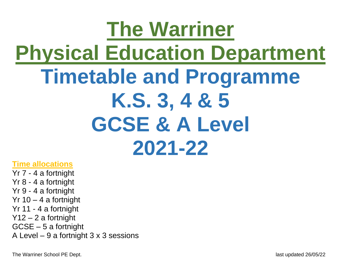# **The Warriner Physical Education Department Timetable and Programme K.S. 3, 4 & 5 GCSE & A Level 2021-22**

#### **Time allocations**

Yr 7 - 4 a fortnight Yr 8 - 4 a fortnight Yr 9 - 4 a fortnight Yr  $10 - 4$  a fortnight Yr 11 - 4 a fortnight Y12 – 2 a fortnight GCSE – 5 a fortnight A Level – 9 a fortnight 3 x 3 sessions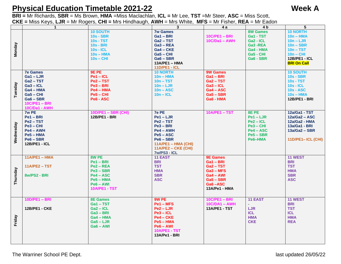#### **Physical Education Timetable 2021-22 Week A**

**BRI =** Mr Richards, **SBR** = Ms Brown, **HMA** =Miss Maclachlan, **ICL =** Mr Lee, **TST** =Mr Steer, **ASC** = Miss Scott, **CKE =** Miss Keys, **LJR** = Mr Rogers, **CHI =** Mrs Hindhaugh, **AWH** = Mrs White, **MFS** = Mr Fisher, **REA** = Mr Eadon

| 3<br>4 <sub>b</sub><br>1<br>4 a<br><b>8W Games</b><br><b>10 SOUTH</b><br><b>7w Games</b><br><b>10C/PE1 - BRI</b><br><b>10s - SBR</b><br>Ga1-BRI<br>Ga1 - TST<br>$10s - TST$<br>$Ga2 - TST$<br>$10C/Da1 - AWH$<br>$Ga2 - ICL$<br>Monday<br>$10s - BRI$<br>Ga3-REA<br>$Ga3 - REA$<br>$10s - ICL$<br>$Ga4 - CKE$<br>Ga4 - HMA<br>$10s - HMA$<br>$Ga5 - CHI$<br>Ga5 - CHI<br>$10s - CHI$<br>$Ga6 - SBR$<br>Ga6 - SBR<br>$13A/PE1 - HMA$<br><b>11D/PE1 - ICL</b><br><b>9E PE</b><br><b>10 NORTH</b><br><b>9W Games</b><br><b>7e Games</b> | 5<br><b>10 NORTH</b><br>$10n - HMA$<br>$10n - LJR$<br>$10n - SBR$<br>$10n - TST$<br>$10n - CHI$<br><b>12B/PE1 - ICL</b> |
|--------------------------------------------------------------------------------------------------------------------------------------------------------------------------------------------------------------------------------------------------------------------------------------------------------------------------------------------------------------------------------------------------------------------------------------------------------------------------------------------------------------------------------------|-------------------------------------------------------------------------------------------------------------------------|
|                                                                                                                                                                                                                                                                                                                                                                                                                                                                                                                                      |                                                                                                                         |
|                                                                                                                                                                                                                                                                                                                                                                                                                                                                                                                                      |                                                                                                                         |
|                                                                                                                                                                                                                                                                                                                                                                                                                                                                                                                                      |                                                                                                                         |
|                                                                                                                                                                                                                                                                                                                                                                                                                                                                                                                                      |                                                                                                                         |
|                                                                                                                                                                                                                                                                                                                                                                                                                                                                                                                                      |                                                                                                                         |
|                                                                                                                                                                                                                                                                                                                                                                                                                                                                                                                                      |                                                                                                                         |
|                                                                                                                                                                                                                                                                                                                                                                                                                                                                                                                                      |                                                                                                                         |
|                                                                                                                                                                                                                                                                                                                                                                                                                                                                                                                                      |                                                                                                                         |
|                                                                                                                                                                                                                                                                                                                                                                                                                                                                                                                                      | <b>BRI On Call</b>                                                                                                      |
|                                                                                                                                                                                                                                                                                                                                                                                                                                                                                                                                      |                                                                                                                         |
|                                                                                                                                                                                                                                                                                                                                                                                                                                                                                                                                      | <b>10 SOUTH</b>                                                                                                         |
| $Ga1 - LJR$<br>$Pe1 - ICL$<br>Ga1-BRI<br>$10n - HMA$                                                                                                                                                                                                                                                                                                                                                                                                                                                                                 | <b>10s - SBR</b>                                                                                                        |
| $Ga2 - TST$<br>$Pe2 - TST$<br>$10n - TST$<br>$Ga2 - TST$                                                                                                                                                                                                                                                                                                                                                                                                                                                                             | $10s - TST$                                                                                                             |
| Tuesday<br>$Ga3 - ICL$<br>$Pe3 - BRI$<br>$10n - LJR$<br>$Ga3 - ICL$                                                                                                                                                                                                                                                                                                                                                                                                                                                                  | $10s - ICL$                                                                                                             |
| $Ga4 - ASC$<br>Ga4 - HMA<br>$Pe4 - HMA$<br>$10n - ASC$                                                                                                                                                                                                                                                                                                                                                                                                                                                                               | $10s - ASC$                                                                                                             |
| $Ga5 - SBR$<br>$Ga5 - CHI$<br>$Pe5 - CHI$<br>$10n - ICL$                                                                                                                                                                                                                                                                                                                                                                                                                                                                             | $10s - HMA$                                                                                                             |
| $Ga6 - SBR$<br>Pe6 - ASC<br>Ga6 - HMA                                                                                                                                                                                                                                                                                                                                                                                                                                                                                                | 12B/PE1 - BRI                                                                                                           |
| <b>10C/PE1 - BRI</b>                                                                                                                                                                                                                                                                                                                                                                                                                                                                                                                 |                                                                                                                         |
| <b>10C/Da1 - AWH</b>                                                                                                                                                                                                                                                                                                                                                                                                                                                                                                                 |                                                                                                                         |
| <b>7e PE</b><br><b>10D/PE1 - SBR (CHI)</b><br><b>10A/PE1-TST</b><br>8E PE<br>7w PE                                                                                                                                                                                                                                                                                                                                                                                                                                                   | 12a/Ga1 - TST                                                                                                           |
| $Pe1 - BRI$<br><b>12B/PE1 - BRI</b><br>$Pe1 - LJR$<br>$Pe1 - LJR$                                                                                                                                                                                                                                                                                                                                                                                                                                                                    | $12a/Ga2 - ASC$                                                                                                         |
| Pe2-TST<br>$Pe2 - ICL$<br>$Pe2 - TST$                                                                                                                                                                                                                                                                                                                                                                                                                                                                                                | 12a/Ga2 - HMA                                                                                                           |
| Wednesday<br>$Pe3 - BRI$<br>$Pe3 - CHI$<br>$Pe3 - CHI$                                                                                                                                                                                                                                                                                                                                                                                                                                                                               | 13a/Ga1 - BRI                                                                                                           |
| Pe4 - AWH<br>Pe4 - AWH<br>$Pe4 - ASC$                                                                                                                                                                                                                                                                                                                                                                                                                                                                                                | 13a/Ga2 - SBR                                                                                                           |
| $Pe5 - ASC$<br>$Pe5 - SBR$<br>$Pe5 - HMA$                                                                                                                                                                                                                                                                                                                                                                                                                                                                                            |                                                                                                                         |
| $Pe6 - SBR$<br>$Pe6 - SBR$<br>Pe6-HMA                                                                                                                                                                                                                                                                                                                                                                                                                                                                                                | 11D/PE1-ICL (CHI)                                                                                                       |
| 12B/PE1 - ICL<br>11A/PE1 - HMA (CHI)                                                                                                                                                                                                                                                                                                                                                                                                                                                                                                 |                                                                                                                         |
|                                                                                                                                                                                                                                                                                                                                                                                                                                                                                                                                      |                                                                                                                         |
| $11A/PE2 - CKE (CHI)$                                                                                                                                                                                                                                                                                                                                                                                                                                                                                                                |                                                                                                                         |
| <b>7w/PS3 - ICL</b>                                                                                                                                                                                                                                                                                                                                                                                                                                                                                                                  |                                                                                                                         |
| 8W PE<br>$11A/PE1 - HMA$<br><b>11 EAST</b><br><b>9E Games</b>                                                                                                                                                                                                                                                                                                                                                                                                                                                                        | 11 WEST                                                                                                                 |
| $Pe1 - BRI$<br><b>BRI</b><br>$Ga1 - BRI$                                                                                                                                                                                                                                                                                                                                                                                                                                                                                             | <b>BRI</b>                                                                                                              |
| <b>TST</b><br>$11A/PE2 - TST$<br>$Pe2 - REA$<br>Ga2 - TST                                                                                                                                                                                                                                                                                                                                                                                                                                                                            | <b>TST</b>                                                                                                              |
| <b>HMA</b><br>$Pe3 - SBR$<br>$Ga3 - MFS$                                                                                                                                                                                                                                                                                                                                                                                                                                                                                             | <b>HMA</b>                                                                                                              |
| Thursday<br><b>SBR</b><br><b>8w/PS2 - BRI</b><br>$Pe4 - ASC$<br>$Ga4 - AWI$                                                                                                                                                                                                                                                                                                                                                                                                                                                          | <b>SBR</b>                                                                                                              |
| $Pe5 - HMA$<br><b>ASC</b><br>$Ga5 - SBR$                                                                                                                                                                                                                                                                                                                                                                                                                                                                                             | <b>ASC</b>                                                                                                              |
| Ga6-ASC<br>$Pe6 - AWI$                                                                                                                                                                                                                                                                                                                                                                                                                                                                                                               |                                                                                                                         |
| <b>10A/PE1 - TST</b><br>13A/Pe1 - HMA                                                                                                                                                                                                                                                                                                                                                                                                                                                                                                |                                                                                                                         |
|                                                                                                                                                                                                                                                                                                                                                                                                                                                                                                                                      |                                                                                                                         |
| 9W PE<br>10D/PE1 - BRI<br>10C/PE1-BRI<br><b>11 EAST</b><br><b>8E Games</b>                                                                                                                                                                                                                                                                                                                                                                                                                                                           | 11 WEST                                                                                                                 |
| $Pe1 - MFS$<br>Ga1-TST<br>$10C/DA1 - AWH$                                                                                                                                                                                                                                                                                                                                                                                                                                                                                            | <b>BRI</b>                                                                                                              |
| LJR<br>$Ga2 - ICL$<br>$Pe2 - LJR$<br><b>13A/PE1 - TST</b><br><b>12B/PE1 - CKE</b>                                                                                                                                                                                                                                                                                                                                                                                                                                                    | <b>TST</b>                                                                                                              |
| $Pe3 - ICL$<br><b>ICL</b><br>$Ga3 - BRI$                                                                                                                                                                                                                                                                                                                                                                                                                                                                                             | <b>ICL</b>                                                                                                              |
| $Pe4 - CKE$<br>$Ga4 - HMA$<br><b>HMA</b>                                                                                                                                                                                                                                                                                                                                                                                                                                                                                             | <b>HMA</b>                                                                                                              |
| <b>CKE</b>                                                                                                                                                                                                                                                                                                                                                                                                                                                                                                                           | <b>REA</b>                                                                                                              |
| Friday<br>$Ga5 - LJR$<br>$Pe5 - HMA$                                                                                                                                                                                                                                                                                                                                                                                                                                                                                                 |                                                                                                                         |
| $Ga6 - AWI$<br>$Pe6 - AWI$                                                                                                                                                                                                                                                                                                                                                                                                                                                                                                           |                                                                                                                         |
| <b>10A/PE1 - TST</b>                                                                                                                                                                                                                                                                                                                                                                                                                                                                                                                 |                                                                                                                         |
| 13A/Pe1 - BRI                                                                                                                                                                                                                                                                                                                                                                                                                                                                                                                        |                                                                                                                         |
|                                                                                                                                                                                                                                                                                                                                                                                                                                                                                                                                      |                                                                                                                         |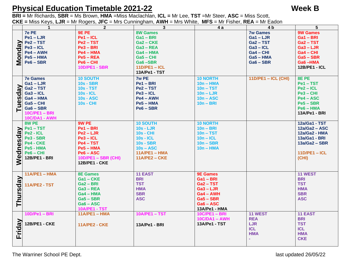#### **Physical Education Timetable 2021-22 Week B**

**BRI =** Mr Richards, **SBR** = Ms Brown, **HMA** =Miss Maclachlan, **ICL =** Mr Lee, **TST** =Mr Steer, **ASC** = Miss Scott, **CKE =** Miss Keys, **LJR** = Mr Rogers, **JFC** = Mrs Cunningham, **AWH** = Mrs White, **MFS** = Mr Fisher, **REA** = Mr Eadon

|               | $\mathbf 1$           | $\overline{2}$             | $\overline{3}$       | 4a                    | 4 <sub>b</sub>             | 5                    |
|---------------|-----------------------|----------------------------|----------------------|-----------------------|----------------------------|----------------------|
|               | <b>7e PE</b>          | 9E PE                      | <b>8W Games</b>      |                       | <b>7w Games</b>            | <b>9W Games</b>      |
| <b>Monday</b> | $Pe1 - LJR$           | $Pe1 - ICL$                | $Ga1 - BRI$          |                       | $Ga1 - LJR$                | Ga1-BRI              |
|               | Pe2-TST               | Pe2 - TST                  | Ga2-CKE              |                       | Ga2-TST                    | $Ga2 - TST$          |
|               | $Pe3 - ICL$           | $Pe3 - BRI$                | $Ga3 - REA$          |                       | $Ga3 - ICL$                | $Ga3 - LJR$          |
|               | $Pe4 - AWH$           | Pe4 – HMA                  | $Ga4 - HMA$          |                       | Ga4-CHI                    | $Ga4 - CHI$          |
|               | $Pe5 - HMA$           | $Pe5 - REA$                | $Ga5 - CHI$          |                       | Ga5 - HMA                  | $Ga5 - SBR$          |
|               | $Pe6 - SBR$           | $Pe6 - CHI$                | Ga6-SBR              |                       | $Ga6 - SBR$                | Ga6-HMA              |
|               |                       | <b>10D/PE1 - SBR</b>       | $11D/PE1 - ICL$      |                       |                            | <b>12B/PE1 - ICL</b> |
|               |                       |                            | 13A/Pe1 - TST        |                       |                            |                      |
|               | <b>7e Games</b>       | <b>10 SOUTH</b>            | 7w PE                | <b>10 NORTH</b>       | <b>11D/PE1 - ICL (CHI)</b> | 8E PE                |
|               | $Ga1 - LJR$           | <b>10s - SBR</b>           | $Pe1 - BRI$          | $10n - HMA$           |                            | Pe1-TST              |
|               | Ga <sub>2</sub> – TST | <b>10s - TST</b>           | $Pe2 - TST$          | $10n - TST$           |                            | $Pe2 - ICL$          |
|               | $Ga3 - ICL$           | 10s - ICL                  | $Pe3 - ICL$          | $10n - LJR$           |                            | $Pe3 - CHI$          |
|               | $Ga4 - HMA$           | <b>10s - ASC</b>           | $Pe4 - AWH$          | $10n - ASC$           |                            | $Pe4 - ASC$          |
|               | $Ga5 - CHI$           | 10s - CHI                  | $Pe5 - HMA$          | $10n - BRI$           |                            | $Pe5 - SBR$          |
| Tuesday       | Ga6 - SBR             |                            | $Pe6 - SBR$          |                       |                            | $Pe6 - HMA$          |
|               | $10C/PE1 - BRI$       |                            |                      |                       |                            | 13A/Pe1 - BRI        |
|               | <b>10C/DA1 - AWH</b>  |                            |                      |                       |                            |                      |
|               | 8W PE                 | 9W PE                      | <b>10 SOUTH</b>      | <b>10 NORTH</b>       |                            | 12a/Ga1 - TST        |
|               | Pe1-TST               | $Pe1 - BRI$                | $10s - LJR$          | $10n - BRI$           |                            | $12a/Ga2 - ASC$      |
|               | Pe2 - ICL             | $Pe2 - LJR$                | <b>10s - CHI</b>     | $10n - TST$           |                            | 12a/Ga2 - HMA        |
|               | Pe3 - SBR             | $Pe3 - ICL$                | $10s - ICL$          | $10n - ICL$           |                            | 13a/Ga1 - BRI        |
|               | Pe4 - CKE             | $Pe4 - TST$                | <b>10s - SBR</b>     | $10n - SBR$           |                            | $13a/Ga2 - SBR$      |
|               | Pe5 - HMA             | $Pe5 - HMA$                | $10s - ASC$          | $10n - HMA$           |                            |                      |
|               | $Pe6 - CHI$           | $Pe6 - ASC$                | $11A/PE1 - HMA$      |                       |                            | $11D/PE1 - ICL$      |
|               | 12B/PE1 - BRI         | <b>10D/PE1 - SBR (CHI)</b> | <b>11A/PE2 - CKE</b> |                       |                            | (CHI)                |
| Wednesday     |                       | 12B/PE1 - CKE              |                      |                       |                            |                      |
|               |                       |                            |                      |                       |                            |                      |
|               | $11A/PE1 - HMA$       | <b>8E Games</b>            | <b>11 EAST</b>       | <b>9E Games</b>       |                            | 11 WEST              |
| Thursday      |                       | Ga1-CKE                    | <b>BRI</b>           | Ga1-BRI               |                            | <b>BRI</b>           |
|               | <b>11A/PE2 - TST</b>  | Ga2-BRI                    | <b>TST</b>           | Ga <sub>2</sub> – TST |                            | <b>TST</b>           |
|               |                       | Ga3 – REA                  | <b>HMA</b>           | $Ga3 - LJR$           |                            | <b>HMA</b>           |
|               |                       | Ga4 - HMA                  | <b>SBR</b>           | Ga4 - AWH             |                            | <b>SBR</b>           |
|               |                       | $Ga5 - SBR$                | <b>ASC</b>           | $Ga5 - SBR$           |                            | <b>ASC</b>           |
|               |                       | Ga6 – ASC                  |                      | $Ga6 - ASC$           |                            |                      |
|               |                       | 10A/PE1 - TST              |                      | 13A/Pe1 - HMA         |                            |                      |
|               | 10D/Pe1 - BRI         | $11A/PE1 - HMA$            | <b>10A/PE1-TST</b>   | $10C/PE1 - BRI$       | 11 WEST                    | <b>11 EAST</b>       |
|               |                       |                            |                      | <b>10C/DA1 - AWH</b>  | <b>REA</b>                 | <b>BRI</b>           |
| Friday        | 12B/PE1 - CKE         | <b>11A/PE2 - CKE</b>       | 13A/Pe1 - BRI        | 13A/Pe1 - TST         | <b>LJR</b>                 | <b>TST</b>           |
|               |                       |                            |                      |                       | <b>ICL</b>                 | <b>ICL</b>           |
|               |                       |                            |                      |                       | <b>HMA</b>                 | <b>HMA</b>           |
|               |                       |                            |                      |                       |                            | <b>CKE</b>           |
|               |                       |                            |                      |                       |                            |                      |

The Warriner School PE Dept. **and School PE Dept.** 2012 2013 12:30 and 26/05/22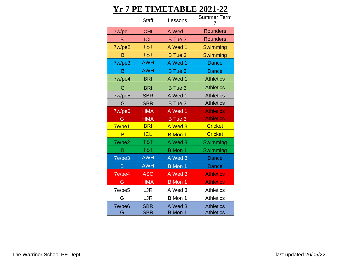### **Yr 7 PE TIMETABLE 2021-22**

|        | <b>Staff</b> | Lessons        | <b>Summer Term</b><br>7 |
|--------|--------------|----------------|-------------------------|
| 7w/pe1 | <b>CHI</b>   | A Wed 1        | <b>Rounders</b>         |
| B      | <b>ICL</b>   | <b>B</b> Tue 3 | <b>Rounders</b>         |
| 7w/pe2 | <b>TST</b>   | A Wed 1        | Swimming                |
| B      | <b>TST</b>   | B Tue 3        | Swimming                |
| 7w/pe3 | <b>AWH</b>   | A Wed 1        | Dance                   |
| B      | <b>AWH</b>   | <b>B</b> Tue 3 | Dance                   |
| 7w/pe4 | <b>BRI</b>   | A Wed 1        | <b>Athletics</b>        |
| G      | <b>BRI</b>   | B Tue 3        | <b>Athletics</b>        |
| 7w/pe5 | <b>SBR</b>   | A Wed 1        | <b>Athletics</b>        |
| G      | <b>SBR</b>   | <b>B</b> Tue 3 | <b>Athletics</b>        |
| 7w/pe6 | <b>HMA</b>   | A Wed 1        | <b>Athletics</b>        |
| G      | <b>HMA</b>   | B Tue 3        | <b>Athletics</b>        |
| 7e/pe1 | <b>BRI</b>   | A Wed 3        | <b>Cricket</b>          |
| B      | <b>ICL</b>   | <b>B</b> Mon 1 | <b>Cricket</b>          |
| 7e/pe2 | <b>TST</b>   | A Wed 3        | Swimming                |
| B      | <b>TST</b>   | <b>B</b> Mon 1 | Swimming                |
| 7e/pe3 | <b>AWH</b>   | A Wed 3        | Dance                   |
| B      | <b>AWH</b>   | <b>B</b> Mon 1 | Dance                   |
| 7e/pe4 | <b>ASC</b>   | A Wed 3        | <b>Athletics</b>        |
| G      | <b>HMA</b>   | <b>B</b> Mon 1 | <b>Athletics</b>        |
| 7e/pe5 | LJR          | A Wed 3        | <b>Athletics</b>        |
| G      | LJR          | B Mon 1        | <b>Athletics</b>        |
| 7e/pe6 | <b>SBR</b>   | A Wed 3        | <b>Athletics</b>        |
| G      | <b>SBR</b>   | <b>B</b> Mon 1 | <b>Athletics</b>        |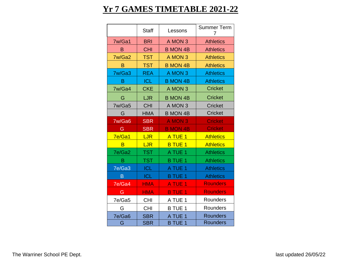## **Yr 7 GAMES TIMETABLE 2021-22**

|        | <b>Staff</b> | Lessons            | <b>Summer Term</b><br>7 |
|--------|--------------|--------------------|-------------------------|
| 7w/Ga1 | <b>BRI</b>   | A MON 3            | <b>Athletics</b>        |
| B      | <b>CHI</b>   | <b>B MON 4B</b>    | <b>Athletics</b>        |
| 7w/Ga2 | <b>TST</b>   | A MON 3            | <b>Athletics</b>        |
| B      | <b>TST</b>   | <b>B MON 4B</b>    | <b>Athletics</b>        |
| 7w/Ga3 | <b>REA</b>   | A MON 3            | <b>Athletics</b>        |
| B      | <b>ICL</b>   | <b>B MON 4B</b>    | <b>Athletics</b>        |
| 7w/Ga4 | <b>CKE</b>   | A MON 3            | <b>Cricket</b>          |
| G      | LJR          | <b>B MON 4B</b>    | <b>Cricket</b>          |
| 7w/Ga5 | <b>CHI</b>   | A MON 3            | <b>Cricket</b>          |
| G      | <b>HMA</b>   | <b>B MON 4B</b>    | <b>Cricket</b>          |
| 7w/Ga6 | <b>SBR</b>   | A MON 3            | <b>Cricket</b>          |
|        |              |                    |                         |
| G      | <b>SBR</b>   | <b>B MON 4B</b>    | <b>Cricket</b>          |
| 7e/Ga1 | <b>LJR</b>   | A TUE <sub>1</sub> | <b>Athletics</b>        |
| B      | <b>LJR</b>   | <b>B TUE 1</b>     | <b>Athletics</b>        |
| 7e/Ga2 | <b>TST</b>   | A TUE 1            | <b>Athletics</b>        |
| B      | <b>TST</b>   | <b>B TUE 1</b>     | <b>Athletics</b>        |
| 7e/Ga3 | <b>ICL</b>   | A TUE 1            | <b>Athletics</b>        |
| B      | <b>ICL</b>   | <b>B TUE 1</b>     | <b>Athletics</b>        |
| 7e/Ga4 | <b>HMA</b>   | A TUE 1            | <b>Rounders</b>         |
| G      | <b>HMA</b>   | <b>B TUE 1</b>     | <b>Rounders</b>         |
| 7e/Ga5 | <b>CHI</b>   | A TUE 1            | Rounders                |
| G      | <b>CHI</b>   | <b>B TUE 1</b>     | Rounders                |
| 7e/Ga6 | <b>SBR</b>   | A TUE              | <b>Rounders</b>         |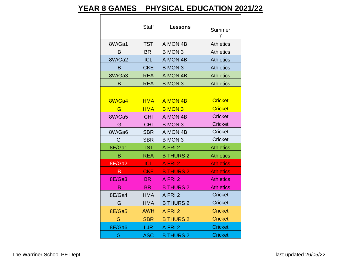#### **YEAR 8 GAMES PHYSICAL EDUCATION 2021/22**

|        |            | <b>Staff</b><br><b>Lessons</b> |                  |
|--------|------------|--------------------------------|------------------|
|        |            |                                | Summer<br>7      |
| 8W/Ga1 | <b>TST</b> | A MON 4B                       | <b>Athletics</b> |
| B      | <b>BRI</b> | <b>B MON 3</b>                 | <b>Athletics</b> |
| 8W/Ga2 | <b>ICL</b> | A MON 4B                       | <b>Athletics</b> |
| B      | <b>CKE</b> | <b>B MON 3</b>                 | <b>Athletics</b> |
| 8W/Ga3 | <b>REA</b> | A MON 4B                       | <b>Athletics</b> |
| B      | <b>REA</b> | <b>B MON 3</b>                 | <b>Athletics</b> |
|        |            |                                |                  |
| 8W/Ga4 | <b>HMA</b> | A MON 4B                       | <b>Cricket</b>   |
| G      | <b>HMA</b> | <b>B MON 3</b>                 | <b>Cricket</b>   |
| 8W/Ga5 | <b>CHI</b> | A MON 4B                       | <b>Cricket</b>   |
| G      | <b>CHI</b> | <b>B MON 3</b>                 | <b>Cricket</b>   |
| 8W/Ga6 | <b>SBR</b> | A MON 4B                       | <b>Cricket</b>   |
| G      | <b>SBR</b> | <b>B MON 3</b>                 | <b>Cricket</b>   |
| 8E/Ga1 | <b>TST</b> | A FRI 2                        | <b>Athletics</b> |
| B      | <b>REA</b> | <b>B THURS 2</b>               | <b>Athletics</b> |
| 8E/Ga2 | <b>ICL</b> | A FRI 2                        | <b>Athletics</b> |
| B      | <b>CKE</b> | <b>B THURS 2</b>               | <b>Athletics</b> |
| 8E/Ga3 | <b>BRI</b> | A FRI 2                        | <b>Athletics</b> |
| B      | <b>BRI</b> | <b>B THURS 2</b>               | <b>Athletics</b> |
| 8E/Ga4 | <b>HMA</b> | A FRI 2                        | <b>Cricket</b>   |
| G      | <b>HMA</b> | <b>B THURS 2</b>               | <b>Cricket</b>   |
| 8E/Ga5 | <b>AWH</b> | A FRI 2                        | <b>Cricket</b>   |
| G      | <b>SBR</b> | <b>B THURS 2</b>               | <b>Cricket</b>   |
| 8E/Ga6 | LJR        | A FRI 2                        | <b>Cricket</b>   |
| G      | <b>ASC</b> | <b>B THURS 2</b>               | <b>Cricket</b>   |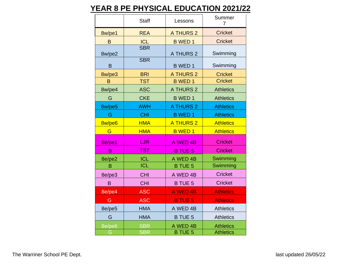#### **YEAR 8 PE PHYSICAL EDUCATION 2021/22**

|             | <b>Staff</b>             | Lessons                    | Summer<br>$\overline{7}$             |
|-------------|--------------------------|----------------------------|--------------------------------------|
| 8w/pe1      | <b>REA</b>               | <b>A THURS 2</b>           | <b>Cricket</b>                       |
| B           | <b>ICL</b>               | <b>B WED 1</b>             | <b>Cricket</b>                       |
| 8w/pe2      | <b>SBR</b>               | <b>A THURS 2</b>           | Swimming                             |
| B           | <b>SBR</b>               | <b>B</b> WED <sub>1</sub>  | Swimming                             |
| 8w/pe3      | <b>BRI</b>               | <b>A THURS 2</b>           | <b>Cricket</b>                       |
| B           | <b>TST</b>               | <b>B WED 1</b>             | <b>Cricket</b>                       |
| 8w/pe4      | <b>ASC</b>               | A THURS 2                  | <b>Athletics</b>                     |
| G           | <b>CKE</b>               | <b>B</b> WED <sub>1</sub>  | <b>Athletics</b>                     |
| 8w/pe5      | <b>AWH</b>               | <b>A THURS 2</b>           | <b>Athletics</b>                     |
| G           | <b>CHI</b>               | <b>B</b> WED <sub>1</sub>  | <b>Athletics</b>                     |
| 8w/pe6      | <b>HMA</b>               | <b>A THURS 2</b>           | <b>Athletics</b>                     |
| G           | <b>HMA</b>               | <b>B</b> WED 1             | <b>Athletics</b>                     |
| 8e/pe1      | <b>LJR</b>               | A WED 4B                   | <b>Cricket</b>                       |
| B           | TST                      | <b>B TUE 5</b>             | <b>Cricket</b>                       |
| 8e/pe2      | <b>ICL</b>               | A WED 4B                   | Swimming                             |
| B           | <b>ICL</b>               | <b>B TUE 5</b>             | Swimming                             |
| 8e/pe3      | <b>CHI</b>               | A WED 4B                   | <b>Cricket</b>                       |
| B           | <b>CHI</b>               | <b>B TUE 5</b>             | <b>Cricket</b>                       |
| 8e/pe4      | <b>ASC</b>               | <b>A WED 4B</b>            | <b>Athletics</b>                     |
| G           | <b>ASC</b>               | <b>B TUE 5</b>             | <b>Athletics</b>                     |
| 8e/pe5      | <b>HMA</b>               | A WED 4B                   | <b>Athletics</b>                     |
| G           | <b>HMA</b>               | <b>B TUE 5</b>             | <b>Athletics</b>                     |
| 8e/pe6<br>G | <b>SBR</b><br><b>SBR</b> | A WED 4B<br><b>B TUE 5</b> | <b>Athletics</b><br><b>Athletics</b> |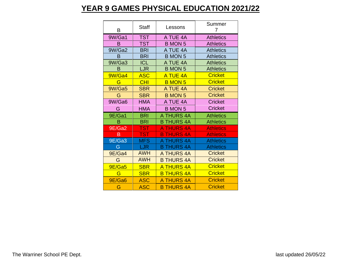#### **YEAR 9 GAMES PHYSICAL EDUCATION 2021/22**

| B      | <b>Staff</b> | Lessons           | Summer<br>7      |
|--------|--------------|-------------------|------------------|
| 9W/Ga1 | <b>TST</b>   | A TUE 4A          | <b>Athletics</b> |
| в      | <b>TST</b>   | <b>B MON 5</b>    | <b>Athletics</b> |
| 9W/Ga2 | <b>BRI</b>   | A TUE 4A          | <b>Athletics</b> |
| B      | <b>BRI</b>   | <b>B MON 5</b>    | <b>Athletics</b> |
| 9W/Ga3 | <b>ICL</b>   | A TUE 4A          | <b>Athletics</b> |
| В      | <b>LJR</b>   | <b>B MON 5</b>    | <b>Athletics</b> |
| 9W/Ga4 | <b>ASC</b>   | A TUE 4A          | <b>Cricket</b>   |
| G      | <b>CHI</b>   | <b>B MON 5</b>    | <b>Cricket</b>   |
| 9W/Ga5 | <b>SBR</b>   | A TUE 4A          | <b>Cricket</b>   |
| G      | <b>SBR</b>   | <b>B MON 5</b>    | <b>Cricket</b>   |
| 9W/Ga6 | <b>HMA</b>   | A TUE 4A          | <b>Cricket</b>   |
|        |              |                   |                  |
| G      | <b>HMA</b>   | <b>B MON 5</b>    | <b>Cricket</b>   |
| 9E/Ga1 | <b>BRI</b>   | A THURS 4A        | <b>Athletics</b> |
| B      | <b>BRI</b>   | <b>B THURS 4A</b> | <b>Athletics</b> |
| 9E/Ga2 | <b>TST</b>   | <b>A THURS 4A</b> | <b>Athletics</b> |
| B      | <b>TST</b>   | <b>B THURS 4A</b> | <b>Athletics</b> |
| 9E/Ga3 | <b>MFS</b>   | <b>THURS 4A</b>   | <b>Athletics</b> |
| G      | LJR.         | <b>B THURS 4A</b> | <b>Athletics</b> |
| 9E/Ga4 | <b>AWH</b>   | A THURS 4A        | <b>Cricket</b>   |
| G      | <b>AWH</b>   | <b>B THURS 4A</b> | <b>Cricket</b>   |
| 9E/Ga5 | <b>SBR</b>   | <b>A THURS 4A</b> | <b>Cricket</b>   |
| G      | <b>SBR</b>   | <b>B THURS 4A</b> | <b>Cricket</b>   |
| 9E/Ga6 | <b>ASC</b>   | <b>A THURS 4A</b> | <b>Cricket</b>   |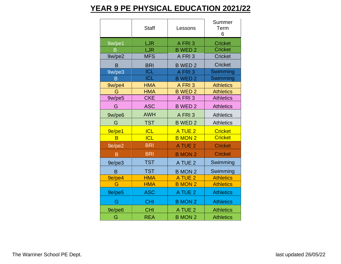#### **YEAR 9 PE PHYSICAL EDUCATION 2021/22**

|        | <b>Staff</b> | Lessons                   | Summer<br>Term<br>6 |
|--------|--------------|---------------------------|---------------------|
| 9w/pe1 | <b>LJR</b>   | A FRI3                    | <b>Cricket</b>      |
| Β      | LJR          | <b>B WED 2</b>            | <b>Cricket</b>      |
| 9w/pe2 | <b>MFS</b>   | A FRI3                    | <b>Cricket</b>      |
| B      | <b>BRI</b>   | <b>B</b> WED <sub>2</sub> | <b>Cricket</b>      |
| 9w/pe3 | <b>ICL</b>   | A FRI3                    | Swimming            |
| B      | <b>ICL</b>   | <b>B WED 2</b>            | Swimming            |
| 9w/pe4 | <b>HMA</b>   | A FRI3                    | <b>Athletics</b>    |
| G      | <b>HMA</b>   | <b>B WED 2</b>            | <b>Athletics</b>    |
| 9w/pe5 | <b>CKE</b>   | A FRI 3                   | <b>Athletics</b>    |
| G      | <b>ASC</b>   | <b>B WED 2</b>            | <b>Athletics</b>    |
| 9w/pe6 | <b>AWH</b>   | A FRI3                    | <b>Athletics</b>    |
| G      | <b>TST</b>   | <b>B WED 2</b>            | <b>Athletics</b>    |
| 9e/pe1 | <b>ICL</b>   | A TUE 2                   | <b>Cricket</b>      |
| B      | <b>ICL</b>   | <b>B MON 2</b>            | <b>Cricket</b>      |
| 9e/pe2 | <b>BRI</b>   | A TUE 2                   | <b>Cricket</b>      |
| B      | <b>BRI</b>   | <b>B MON 2</b>            | <b>Cricket</b>      |
| 9e/pe3 | <b>TST</b>   | A TUE 2                   | Swimming            |
| B      | <b>TST</b>   | <b>B</b> MON 2            | Swimming            |
| 9e/pe4 | <b>HMA</b>   | A TUE 2                   | <b>Athletics</b>    |
| G      | <b>HMA</b>   | <b>B MON 2</b>            | <b>Athletics</b>    |
| 9e/pe5 | <b>ASC</b>   | A TUE 2                   | <b>Athletics</b>    |
| G      | <b>CHI</b>   | <b>B MON 2</b>            | <b>Athletics</b>    |
| 9e/pe6 | <b>CHI</b>   | A TUE 2                   | <b>Athletics</b>    |
| G      | <b>REA</b>   | <b>B MON 2</b>            | <b>Athletics</b>    |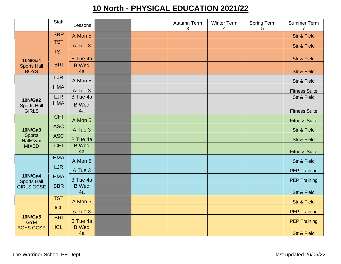### **10 North - PHYSICAL EDUCATION 2021/22**

|                                      | <b>Staff</b> | Lessons            |  | Autumn Term<br>3 | <b>Winter Term</b><br>$\overline{4}$ | <b>Spring Term</b><br>5 | Summer Term<br>$\overline{7}$ |
|--------------------------------------|--------------|--------------------|--|------------------|--------------------------------------|-------------------------|-------------------------------|
|                                      | <b>SBR</b>   | A Mon 5            |  |                  |                                      |                         | <b>Str &amp; Field</b>        |
|                                      | <b>TST</b>   | A Tue 3            |  |                  |                                      |                         | Str & Field                   |
| <b>10N/Ga1</b>                       | <b>TST</b>   | B Tue 4a           |  |                  |                                      |                         | <b>Str &amp; Field</b>        |
| <b>Sports Hall</b><br><b>BOYS</b>    | <b>BRI</b>   | <b>B</b> Wed<br>4a |  |                  |                                      |                         | Str & Field                   |
|                                      | <b>LJR</b>   | A Mon 5            |  |                  |                                      |                         | Str & Field                   |
|                                      | <b>HMA</b>   | A Tue 3            |  |                  |                                      |                         | <b>Fitness Suite</b>          |
| <b>10N/Ga2</b>                       | <b>LJR</b>   | B Tue 4a           |  |                  |                                      |                         | Str & Field                   |
| <b>Sports Hall</b><br><b>GIRLS</b>   | <b>HMA</b>   | <b>B</b> Wed<br>4a |  |                  |                                      |                         | <b>Fitness Suite</b>          |
|                                      | <b>CHI</b>   | A Mon 5            |  |                  |                                      |                         | <b>Fitness Suite</b>          |
| <b>10N/Ga3</b>                       | <b>ASC</b>   | A Tue 3            |  |                  |                                      |                         | Str & Field                   |
| <b>Sports</b><br>Hall/Gym            | <b>ASC</b>   | B Tue 4a           |  |                  |                                      |                         | Str & Field                   |
| <b>MIXED</b>                         | <b>CHI</b>   | <b>B</b> Wed<br>4a |  |                  |                                      |                         | <b>Fitness Suite</b>          |
|                                      | <b>HMA</b>   | A Mon 5            |  |                  |                                      |                         | Str & Field                   |
|                                      | <b>LJR</b>   | A Tue 3            |  |                  |                                      |                         | <b>PEP Training</b>           |
| <b>10N/Ga4</b><br><b>Sports Hall</b> | <b>HMA</b>   | B Tue 4a           |  |                  |                                      |                         | <b>PEP Training</b>           |
| <b>GIRLS GCSE</b>                    | <b>SBR</b>   | <b>B</b> Wed<br>4a |  |                  |                                      |                         | Str & Field                   |
|                                      | <b>TST</b>   | A Mon 5            |  |                  |                                      |                         | <b>Str &amp; Field</b>        |
|                                      | <b>ICL</b>   | A Tue 3            |  |                  |                                      |                         | <b>PEP Training</b>           |
| <b>10N/Ga5</b><br><b>GYM</b>         | <b>BRI</b>   | B Tue 4a           |  |                  |                                      |                         | <b>PEP Training</b>           |
| <b>BOYS GCSE</b>                     | <b>ICL</b>   | <b>B</b> Wed<br>4a |  |                  |                                      |                         | <b>Str &amp; Field</b>        |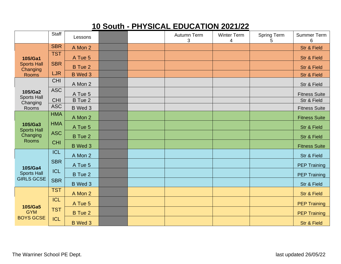### **10 South - PHYSICAL EDUCATION 2021/22**

|                                      | <b>Staff</b> | Lessons        |  | Autumn Term<br>3 | <b>Winter Term</b><br>4 | <b>Spring Term</b><br>5 | Summer Term<br>6       |
|--------------------------------------|--------------|----------------|--|------------------|-------------------------|-------------------------|------------------------|
|                                      | <b>SBR</b>   | A Mon 2        |  |                  |                         |                         | <b>Str &amp; Field</b> |
| <b>10S/Ga1</b>                       | <b>TST</b>   | A Tue 5        |  |                  |                         |                         | <b>Str &amp; Field</b> |
| <b>Sports Hall</b><br>Changing       | <b>SBR</b>   | <b>B</b> Tue 2 |  |                  |                         |                         | <b>Str &amp; Field</b> |
| <b>Rooms</b>                         | <b>LJR</b>   | B Wed 3        |  |                  |                         |                         | Str & Field            |
|                                      | <b>CHI</b>   | A Mon 2        |  |                  |                         |                         | Str & Field            |
| <b>10S/Ga2</b><br><b>Sports Hall</b> | <b>ASC</b>   | A Tue 5        |  |                  |                         |                         | <b>Fitness Suite</b>   |
| Changing                             | <b>CHI</b>   | <b>B</b> Tue 2 |  |                  |                         |                         | Str & Field            |
| Rooms                                | <b>ASC</b>   | B Wed 3        |  |                  |                         |                         | <b>Fitness Suite</b>   |
|                                      | <b>HMA</b>   | A Mon 2        |  |                  |                         |                         | <b>Fitness Suite</b>   |
| <b>10S/Ga3</b><br><b>Sports Hall</b> | <b>HMA</b>   | A Tue 5        |  |                  |                         |                         | Str & Field            |
| Changing                             | <b>ASC</b>   | <b>B</b> Tue 2 |  |                  |                         |                         | Str & Field            |
| <b>Rooms</b>                         | <b>CHI</b>   | B Wed 3        |  |                  |                         |                         | <b>Fitness Suite</b>   |
|                                      | <b>ICL</b>   | A Mon 2        |  |                  |                         |                         | Str & Field            |
| <b>10S/Ga4</b>                       | <b>SBR</b>   | A Tue 5        |  |                  |                         |                         | <b>PEP Training</b>    |
| <b>Sports Hall</b>                   | <b>ICL</b>   | <b>B</b> Tue 2 |  |                  |                         |                         | <b>PEP Training</b>    |
| <b>GIRLS GCSE</b>                    | <b>SBR</b>   | B Wed 3        |  |                  |                         |                         | Str & Field            |
|                                      | <b>TST</b>   | A Mon 2        |  |                  |                         |                         | <b>Str &amp; Field</b> |
|                                      | <b>ICL</b>   | A Tue 5        |  |                  |                         |                         | <b>PEP Training</b>    |
| <b>10S/Ga5</b><br><b>GYM</b>         | <b>TST</b>   | <b>B</b> Tue 2 |  |                  |                         |                         | <b>PEP Training</b>    |
| <b>BOYS GCSE</b>                     | <b>ICL</b>   | <b>B</b> Wed 3 |  |                  |                         |                         | <b>Str &amp; Field</b> |

The Warriner School PE Dept. **and School PE Dept.** 2012 12:30 and 26/05/22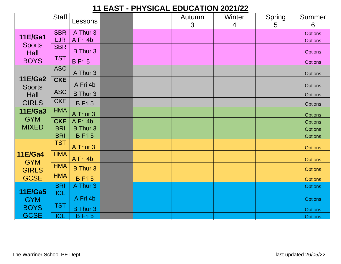#### **11 EAST - PHYSICAL EDUCATION 2021/22**

|                                             | <b>Staff</b> | Lessons         |  | Autumn | Winter         | Spring | Summer         |
|---------------------------------------------|--------------|-----------------|--|--------|----------------|--------|----------------|
|                                             |              |                 |  | 3      | $\overline{4}$ | 5      | 6              |
| <b>11E/Ga1</b>                              | <b>SBR</b>   | A Thur 3        |  |        |                |        | <b>Options</b> |
|                                             | <b>LJR</b>   | A Fri 4b        |  |        |                |        | <b>Options</b> |
| <b>Sports</b><br>Hall                       | <b>SBR</b>   | <b>B</b> Thur 3 |  |        |                |        | <b>Options</b> |
| <b>BOYS</b>                                 | <b>TST</b>   | B Fri 5         |  |        |                |        | <b>Options</b> |
|                                             | <b>ASC</b>   | A Thur 3        |  |        |                |        | <b>Options</b> |
| <b>11E/Ga2</b>                              | <b>CKE</b>   | A Fri 4b        |  |        |                |        | <b>Options</b> |
| <b>Sports</b><br>Hall                       | <b>ASC</b>   | <b>B</b> Thur 3 |  |        |                |        | <b>Options</b> |
| <b>GIRLS</b>                                | <b>CKE</b>   | B Fri 5         |  |        |                |        | <b>Options</b> |
| <b>11E/Ga3</b>                              | <b>HMA</b>   | A Thur 3        |  |        |                |        | <b>Options</b> |
| <b>GYM</b>                                  | <b>CKE</b>   | A Fri 4b        |  |        |                |        | <b>Options</b> |
| <b>MIXED</b>                                | <b>BRI</b>   | <b>B</b> Thur 3 |  |        |                |        | <b>Options</b> |
|                                             | <b>BRI</b>   | B Fri 5         |  |        |                |        | <b>Options</b> |
|                                             | <b>TST</b>   | A Thur 3        |  |        |                |        | <b>Options</b> |
| <b>11E/Ga4</b>                              | <b>HMA</b>   | A Fri 4b        |  |        |                |        | <b>Options</b> |
| <b>GYM</b><br><b>GIRLS</b>                  | <b>HMA</b>   | <b>B</b> Thur 3 |  |        |                |        | <b>Options</b> |
| <b>GCSE</b>                                 | <b>HMA</b>   | B Fri 5         |  |        |                |        | <b>Options</b> |
|                                             | <b>BRI</b>   | A Thur 3        |  |        |                |        | <b>Options</b> |
| <b>11E/Ga5</b><br><b>GYM</b><br><b>BOYS</b> | <b>ICL</b>   | A Fri 4b        |  |        |                |        | <b>Options</b> |
|                                             | <b>TST</b>   | <b>B</b> Thur 3 |  |        |                |        | <b>Options</b> |
| <b>GCSE</b>                                 | <b>ICL</b>   | B Fri 5         |  |        |                |        | <b>Options</b> |